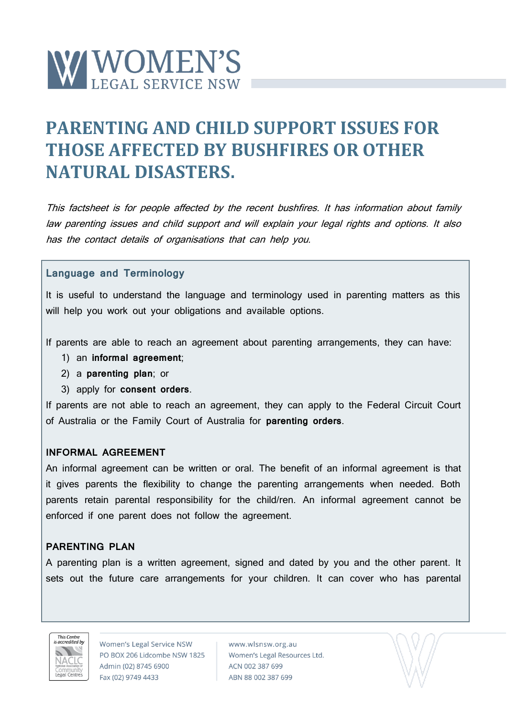

# **PARENTING AND CHILD SUPPORT ISSUES FOR THOSE AFFECTED BY BUSHFIRES OR OTHER NATURAL DISASTERS.**

This factsheet is for people affected by the recent bushfires. It has information about family law parenting issues and child support and will explain your legal rights and options. It also has the contact details of organisations that can help you.

### **Language and Terminology**

It is useful to understand the language and terminology used in parenting matters as this will help you work out your obligations and available options.

If parents are able to reach an agreement about parenting arrangements, they can have:

- 1) an **informal agreement**;
- 2) a **parenting plan**; or
- 3) apply for **consent orders**.

If parents are not able to reach an agreement, they can apply to the Federal Circuit Court of Australia or the Family Court of Australia for **parenting orders**.

### **INFORMAL AGREEMENT**

An informal agreement can be written or oral. The benefit of an informal agreement is that it gives parents the flexibility to change the parenting arrangements when needed. Both parents retain parental responsibility for the child/ren. An informal agreement cannot be enforced if one parent does not follow the agreement.

### **PARENTING PLAN**

A parenting plan is a written agreement, signed and dated by you and the other parent. It sets out the future care arrangements for your children. It can cover who has parental



Women's Legal Service NSW PO BOX 206 Lidcombe NSW 1825 Admin (02) 8745 6900 Fax (02) 9749 4433

www.wlsnsw.org.au Women's Legal Resources Ltd. ACN 002 387 699 ABN 88 002 387 699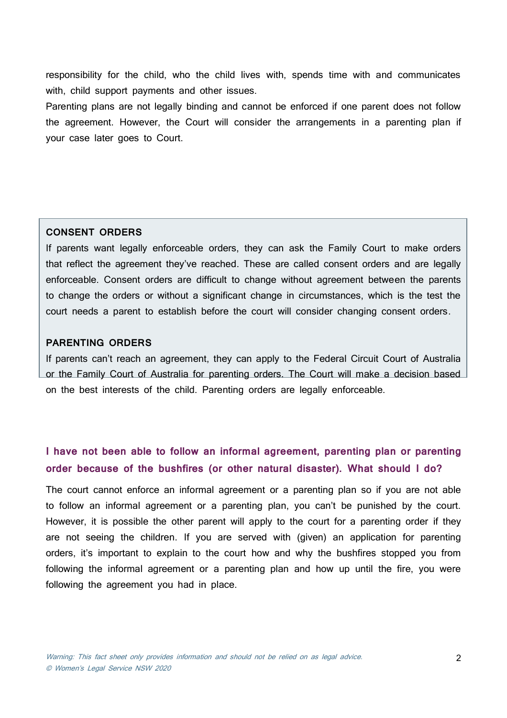responsibility for the child, who the child lives with, spends time with and communicates with, child support payments and other issues.

Parenting plans are not legally binding and cannot be enforced if one parent does not follow the agreement. However, the Court will consider the arrangements in a parenting plan if your case later goes to Court.

#### **CONSENT ORDERS**

If parents want legally enforceable orders, they can ask the Family Court to make orders that reflect the agreement they've reached. These are called consent orders and are legally enforceable. Consent orders are difficult to change without agreement between the parents to change the orders or without a significant change in circumstances, which is the test the court needs a parent to establish before the court will consider changing consent orders.

### **PARENTING ORDERS**

If parents can't reach an agreement, they can apply to the Federal Circuit Court of Australia or the Family Court of Australia for parenting orders. The Court will make a decision based on the best interests of the child. Parenting orders are legally enforceable.

# **I have not been able to follow an informal agreement, parenting plan or parenting order because of the bushfires (or other natural disaster). What should I do?**

The court cannot enforce an informal agreement or a parenting plan so if you are not able to follow an informal agreement or a parenting plan, you can't be punished by the court. However, it is possible the other parent will apply to the court for a parenting order if they are not seeing the children. If you are served with (given) an application for parenting orders, it's important to explain to the court how and why the bushfires stopped you from following the informal agreement or a parenting plan and how up until the fire, you were following the agreement you had in place.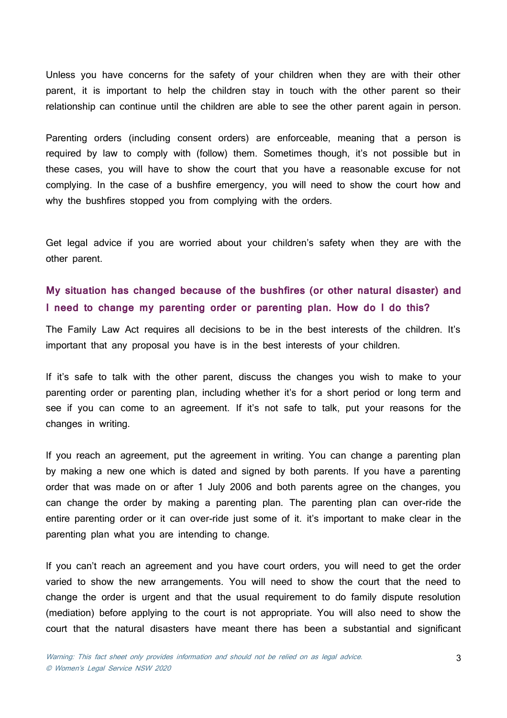Unless you have concerns for the safety of your children when they are with their other parent, it is important to help the children stay in touch with the other parent so their relationship can continue until the children are able to see the other parent again in person.

Parenting orders (including consent orders) are enforceable, meaning that a person is required by law to comply with (follow) them. Sometimes though, it's not possible but in these cases, you will have to show the court that you have a reasonable excuse for not complying. In the case of a bushfire emergency, you will need to show the court how and why the bushfires stopped you from complying with the orders.

Get legal advice if you are worried about your children's safety when they are with the other parent.

### **My situation has changed because of the bushfires (or other natural disaster) and I need to change my parenting order or parenting plan. How do I do this?**

The Family Law Act requires all decisions to be in the best interests of the children. It's important that any proposal you have is in the best interests of your children.

If it's safe to talk with the other parent, discuss the changes you wish to make to your parenting order or parenting plan, including whether it's for a short period or long term and see if you can come to an agreement. If it's not safe to talk, put your reasons for the changes in writing.

If you reach an agreement, put the agreement in writing. You can change a parenting plan by making a new one which is dated and signed by both parents. If you have a parenting order that was made on or after 1 July 2006 and both parents agree on the changes, you can change the order by making a parenting plan. The parenting plan can over-ride the entire parenting order or it can over-ride just some of it. it's important to make clear in the parenting plan what you are intending to change.

If you can't reach an agreement and you have court orders, you will need to get the order varied to show the new arrangements. You will need to show the court that the need to change the order is urgent and that the usual requirement to do family dispute resolution (mediation) before applying to the court is not appropriate. You will also need to show the court that the natural disasters have meant there has been a substantial and significant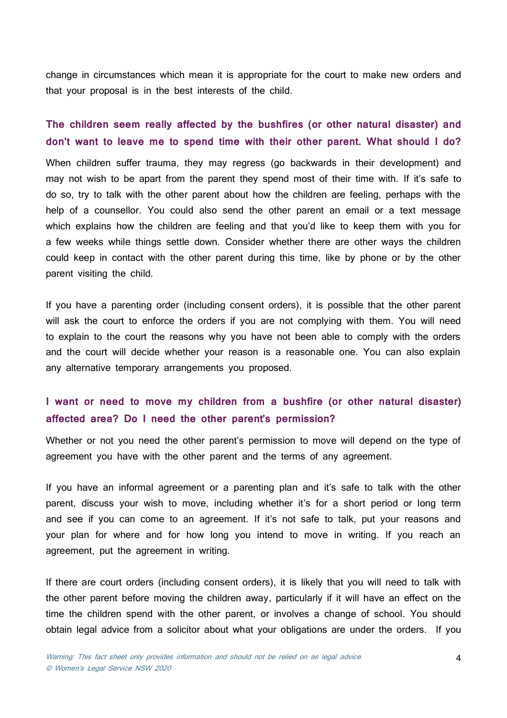change in circumstances which mean it is appropriate for the court to make new orders and that your proposal is in the best interests of the child.

# **The children seem really affected by the bushfires (or other natural disaster) and don't want to leave me to spend time with their other parent. What should I do?**

When children suffer trauma, they may regress (go backwards in their development) and may not wish to be apart from the parent they spend most of their time with. If it's safe to do so, try to talk with the other parent about how the children are feeling, perhaps with the help of a counsellor. You could also send the other parent an email or a text message which explains how the children are feeling and that you'd like to keep them with you for a few weeks while things settle down. Consider whether there are other ways the children could keep in contact with the other parent during this time, like by phone or by the other parent visiting the child.

If you have a parenting order (including consent orders), it is possible that the other parent will ask the court to enforce the orders if you are not complying with them. You will need to explain to the court the reasons why you have not been able to comply with the orders and the court will decide whether your reason is a reasonable one. You can also explain any alternative temporary arrangements you proposed.

# **I want or need to move my children from a bushfire (or other natural disaster) affected area? Do I need the other parent's permission?**

Whether or not you need the other parent's permission to move will depend on the type of agreement you have with the other parent and the terms of any agreement.

If you have an informal agreement or a parenting plan and it's safe to talk with the other parent, discuss your wish to move, including whether it's for a short period or long term and see if you can come to an agreement. If it's not safe to talk, put your reasons and your plan for where and for how long you intend to move in writing. If you reach an agreement, put the agreement in writing.

If there are court orders (including consent orders), it is likely that you will need to talk with the other parent before moving the children away, particularly if it will have an effect on the time the children spend with the other parent, or involves a change of school. You should obtain legal advice from a solicitor about what your obligations are under the orders. If you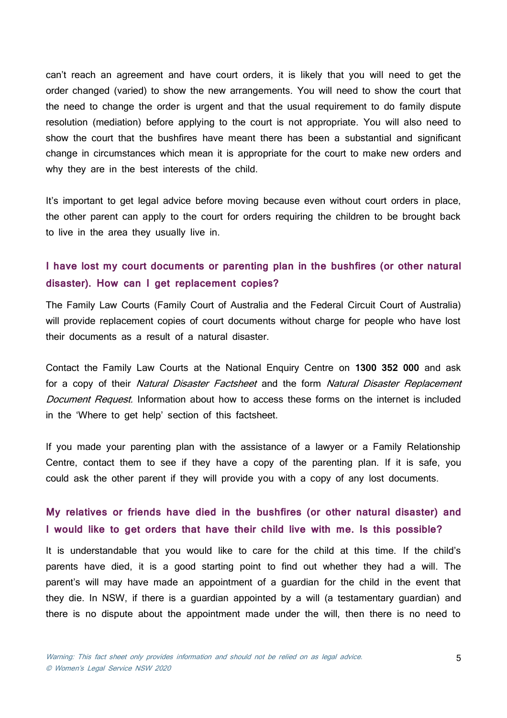can't reach an agreement and have court orders, it is likely that you will need to get the order changed (varied) to show the new arrangements. You will need to show the court that the need to change the order is urgent and that the usual requirement to do family dispute resolution (mediation) before applying to the court is not appropriate. You will also need to show the court that the bushfires have meant there has been a substantial and significant change in circumstances which mean it is appropriate for the court to make new orders and why they are in the best interests of the child.

It's important to get legal advice before moving because even without court orders in place, the other parent can apply to the court for orders requiring the children to be brought back to live in the area they usually live in.

# **I have lost my court documents or parenting plan in the bushfires (or other natural disaster). How can I get replacement copies?**

The Family Law Courts (Family Court of Australia and the Federal Circuit Court of Australia) will provide replacement copies of court documents without charge for people who have lost their documents as a result of a natural disaster.

Contact the Family Law Courts at the National Enquiry Centre on **1300 352 000** and ask for a copy of their Natural Disaster Factsheet and the form Natural Disaster Replacement Document Request. Information about how to access these forms on the internet is included in the 'Where to get help' section of this factsheet.

If you made your parenting plan with the assistance of a lawyer or a Family Relationship Centre, contact them to see if they have a copy of the parenting plan. If it is safe, you could ask the other parent if they will provide you with a copy of any lost documents.

# **My relatives or friends have died in the bushfires (or other natural disaster) and I would like to get orders that have their child live with me. Is this possible?**

It is understandable that you would like to care for the child at this time. If the child's parents have died, it is a good starting point to find out whether they had a will. The parent's will may have made an appointment of a guardian for the child in the event that they die. In NSW, if there is a guardian appointed by a will (a testamentary guardian) and there is no dispute about the appointment made under the will, then there is no need to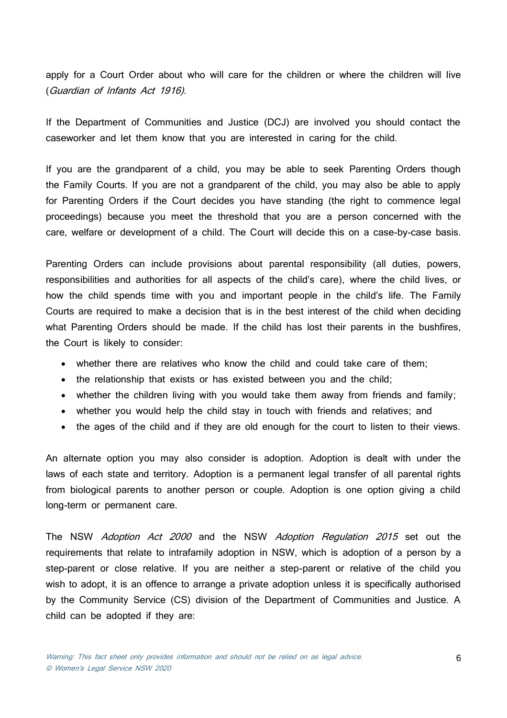apply for a Court Order about who will care for the children or where the children will live (Guardian of Infants Act 1916).

If the Department of Communities and Justice (DCJ) are involved you should contact the caseworker and let them know that you are interested in caring for the child.

If you are the grandparent of a child, you may be able to seek Parenting Orders though the Family Courts. If you are not a grandparent of the child, you may also be able to apply for Parenting Orders if the Court decides you have standing (the right to commence legal proceedings) because you meet the threshold that you are a person concerned with the care, welfare or development of a child. The Court will decide this on a case-by-case basis.

Parenting Orders can include provisions about parental responsibility (all duties, powers, responsibilities and authorities for all aspects of the child's care), where the child lives, or how the child spends time with you and important people in the child's life. The Family Courts are required to make a decision that is in the best interest of the child when deciding what Parenting Orders should be made. If the child has lost their parents in the bushfires, the Court is likely to consider:

- whether there are relatives who know the child and could take care of them;
- the relationship that exists or has existed between you and the child;
- whether the children living with you would take them away from friends and family;
- whether you would help the child stay in touch with friends and relatives; and
- the ages of the child and if they are old enough for the court to listen to their views.

An alternate option you may also consider is adoption. Adoption is dealt with under the laws of each state and territory. Adoption is a permanent legal transfer of all parental rights from biological parents to another person or couple. Adoption is one option giving a child long-term or permanent care.

The NSW Adoption Act 2000 and the NSW Adoption Regulation 2015 set out the requirements that relate to intrafamily adoption in NSW, which is adoption of a person by a step-parent or close relative. If you are neither a step-parent or relative of the child you wish to adopt, it is an offence to arrange a private adoption unless it is specifically authorised by the Community Service (CS) division of the Department of Communities and Justice. A child can be adopted if they are: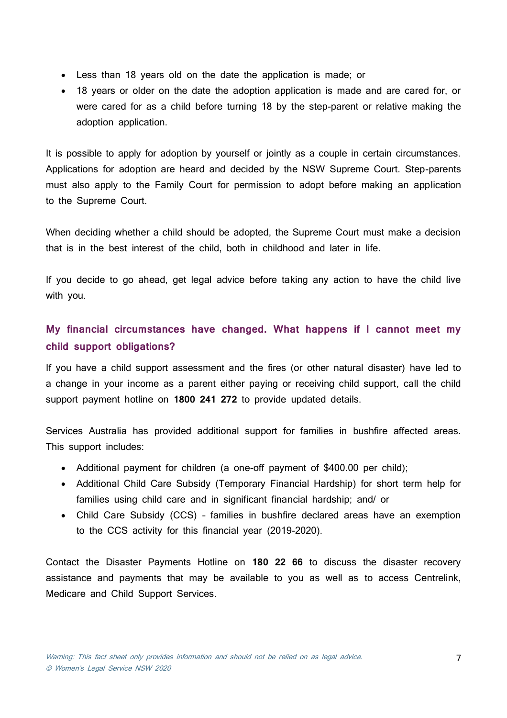- Less than 18 years old on the date the application is made; or
- 18 years or older on the date the adoption application is made and are cared for, or were cared for as a child before turning 18 by the step-parent or relative making the adoption application.

It is possible to apply for adoption by yourself or jointly as a couple in certain circumstances. Applications for adoption are heard and decided by the NSW Supreme Court. Step-parents must also apply to the Family Court for permission to adopt before making an application to the Supreme Court.

When deciding whether a child should be adopted, the Supreme Court must make a decision that is in the best interest of the child, both in childhood and later in life.

If you decide to go ahead, get legal advice before taking any action to have the child live with you.

# **My financial circumstances have changed. What happens if I cannot meet my child support obligations?**

If you have a child support assessment and the fires (or other natural disaster) have led to a change in your income as a parent either paying or receiving child support, call the child support payment hotline on **[1800](tel:1800241272) 241 272** to provide updated details.

Services Australia has provided additional support for families in bushfire affected areas. This support includes:

- Additional payment for children (a one-off payment of \$400.00 per child);
- Additional Child Care Subsidy (Temporary Financial Hardship) for short term help for families using child care and in significant financial hardship; and/ or
- Child Care Subsidy (CCS) families in bushfire declared areas have an exemption to the CCS activity for this financial year (2019-2020).

Contact the Disaster Payments Hotline on **180 22 66** to discuss the disaster recovery assistance and payments that may be available to you as well as to access Centrelink, Medicare and Child Support Services.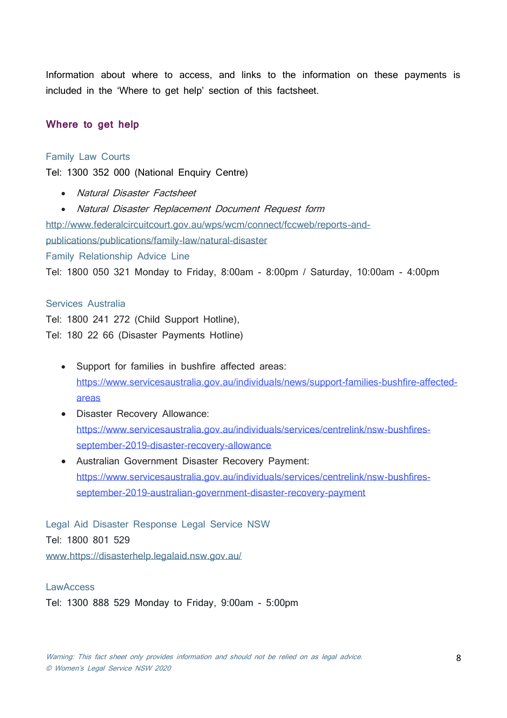Information about where to access, and links to the information on these payments is included in the 'Where to get help' section of this factsheet.

#### **Where to get help**

#### Family Law Courts

Tel: 1300 352 000 (National Enquiry Centre)

- Natural Disaster Factsheet
- Natural Disaster Replacement Document Request form

[http://www.federalcircuitcourt.gov.au/wps/wcm/connect/fccweb/reports-and-](http://www.federalcircuitcourt.gov.au/wps/wcm/connect/fccweb/reports-and-publications/publications/family-law/natural-disaster)

[publications/publications/family-law/natural-disaster](http://www.federalcircuitcourt.gov.au/wps/wcm/connect/fccweb/reports-and-publications/publications/family-law/natural-disaster)

Family Relationship Advice Line

Tel: 1800 050 321 Monday to Friday, 8:00am - 8:00pm / Saturday, 10:00am - 4:00pm

### Services Australia

Tel: 1800 241 272 (Child Support Hotline), Tel: 180 22 66 (Disaster Payments Hotline)

- Support for families in bushfire affected areas: [https://www.servicesaustralia.gov.au/individuals/news/support-families-bushfire-affected](https://www.servicesaustralia.gov.au/individuals/news/support-families-bushfire-affected-areas)[areas](https://www.servicesaustralia.gov.au/individuals/news/support-families-bushfire-affected-areas)
- Disaster Recovery Allowance: [https://www.servicesaustralia.gov.au/individuals/services/centrelink/nsw-bushfires](https://www.servicesaustralia.gov.au/individuals/services/centrelink/nsw-bushfires-september-2019-disaster-recovery-allowance)[september-2019-disaster-recovery-allowance](https://www.servicesaustralia.gov.au/individuals/services/centrelink/nsw-bushfires-september-2019-disaster-recovery-allowance)
- Australian Government Disaster Recovery Payment: [https://www.servicesaustralia.gov.au/individuals/services/centrelink/nsw-bushfires](https://www.servicesaustralia.gov.au/individuals/services/centrelink/nsw-bushfires-september-2019-australian-government-disaster-recovery-payment)[september-2019-australian-government-disaster-recovery-payment](https://www.servicesaustralia.gov.au/individuals/services/centrelink/nsw-bushfires-september-2019-australian-government-disaster-recovery-payment)

Legal Aid Disaster Response Legal Service NSW Tel: 1800 801 529 [www.https://disasterhelp.legalaid.nsw.gov.au/](http://www.https/disasterhelp.legalaid.nsw.gov.au/)

#### **LawAccess**

Tel: 1300 888 529 Monday to Friday, 9:00am - 5:00pm